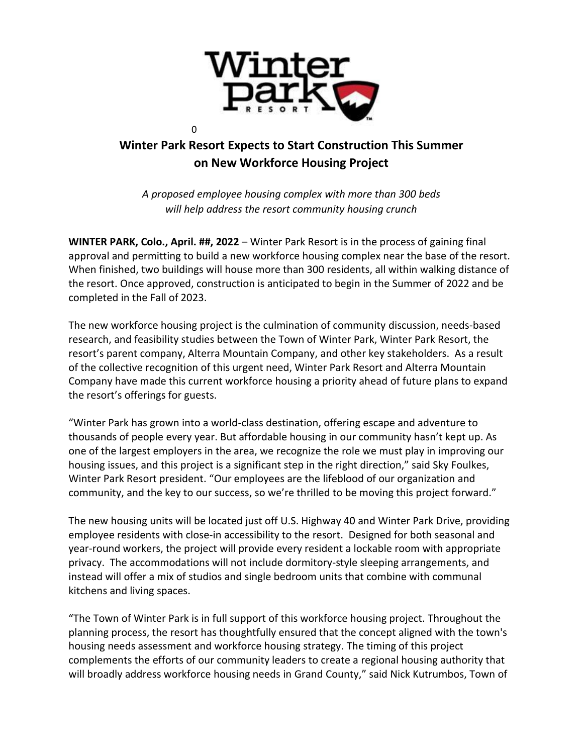

## **Winter Park Resort Expects to Start Construction This Summer on New Workforce Housing Project**

*A proposed employee housing complex with more than 300 beds will help address the resort community housing crunch*

**WINTER PARK, Colo., April. ##, 2022** – Winter Park Resort is in the process of gaining final approval and permitting to build a new workforce housing complex near the base of the resort. When finished, two buildings will house more than 300 residents, all within walking distance of the resort. Once approved, construction is anticipated to begin in the Summer of 2022 and be completed in the Fall of 2023.

The new workforce housing project is the culmination of community discussion, needs-based research, and feasibility studies between the Town of Winter Park, Winter Park Resort, the resort's parent company, Alterra Mountain Company, and other key stakeholders. As a result of the collective recognition of this urgent need, Winter Park Resort and Alterra Mountain Company have made this current workforce housing a priority ahead of future plans to expand the resort's offerings for guests.

"Winter Park has grown into a world-class destination, offering escape and adventure to thousands of people every year. But affordable housing in our community hasn't kept up. As one of the largest employers in the area, we recognize the role we must play in improving our housing issues, and this project is a significant step in the right direction," said Sky Foulkes, Winter Park Resort president. "Our employees are the lifeblood of our organization and community, and the key to our success, so we're thrilled to be moving this project forward."

The new housing units will be located just off U.S. Highway 40 and Winter Park Drive, providing employee residents with close-in accessibility to the resort. Designed for both seasonal and year-round workers, the project will provide every resident a lockable room with appropriate privacy. The accommodations will not include dormitory-style sleeping arrangements, and instead will offer a mix of studios and single bedroom units that combine with communal kitchens and living spaces.

"The Town of Winter Park is in full support of this workforce housing project. Throughout the planning process, the resort has thoughtfully ensured that the concept aligned with the town's housing needs assessment and workforce housing strategy. The timing of this project complements the efforts of our community leaders to create a regional housing authority that will broadly address workforce housing needs in Grand County," said Nick Kutrumbos, Town of